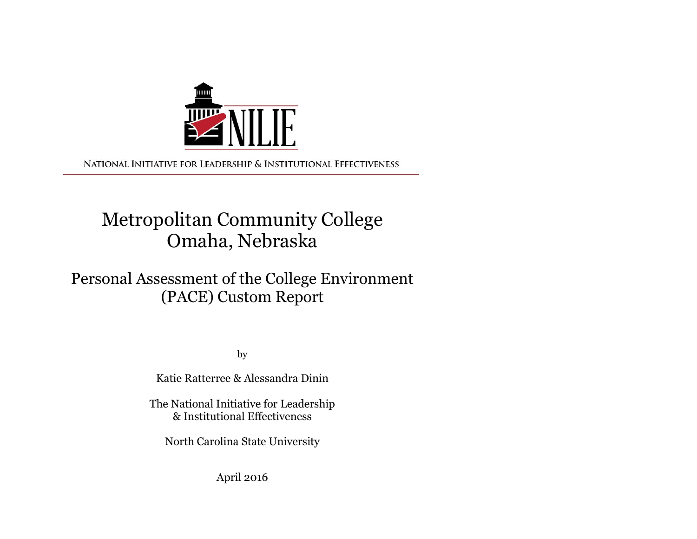

NATIONAL INITIATIVE FOR LEADERSHIP & INSTITUTIONAL EFFECTIVENESS

# Metropolitan Community College Omaha, Nebraska

## Personal Assessment of the College Environment (PACE) Custom Report

by the contract of the contract of the contract of the contract of the contract of the contract of the contract of the contract of the contract of the contract of the contract of the contract of the contract of the contrac

Katie Ratterree & Alessandra Dinin

The National Initiative for Leadership & Institutional Effectiveness

North Carolina State University

April 2016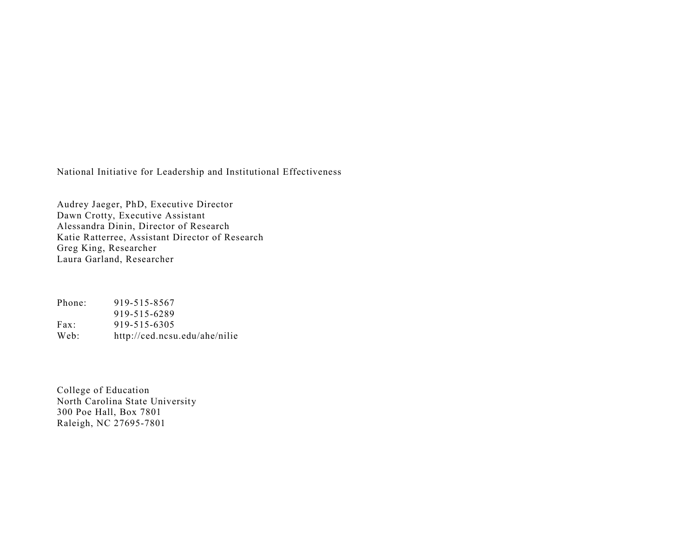National Initiative for Leadership and Institutional Effectiveness

Audrey Jaeger, PhD, Executive Director Dawn Crotty, Executive Assistant Alessandra Dinin, Director of Research Katie Ratterree, Assistant Director of Research Greg King, Researcher Laura Garland, Researcher

Phone: 919-515-8567 919-515-6289 Fax: 919-515-6305 Web: http://ced.ncsu.edu/ahe/nilie

College of Education North Carolina State University 300 Poe Hall, Box 7801 Raleigh, NC 27695-7801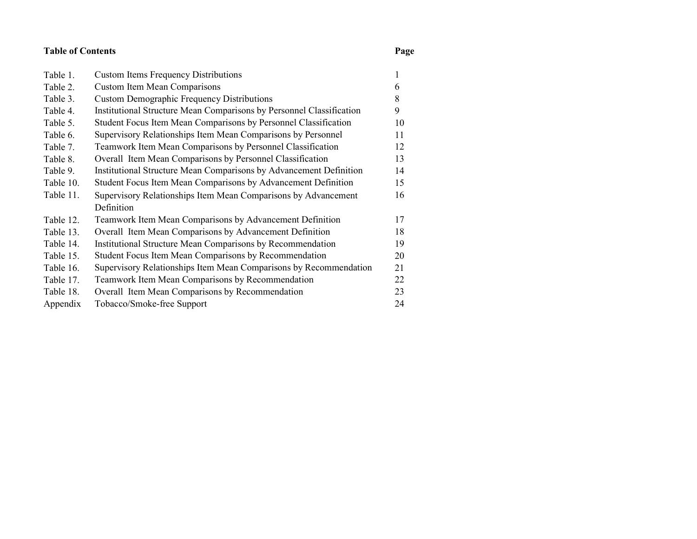#### Table of Contents

#### Page

| Table 1.  | <b>Custom Items Frequency Distributions</b>                          |    |
|-----------|----------------------------------------------------------------------|----|
| Table 2.  | <b>Custom Item Mean Comparisons</b>                                  | 6  |
| Table 3.  | <b>Custom Demographic Frequency Distributions</b>                    | 8  |
| Table 4.  | Institutional Structure Mean Comparisons by Personnel Classification | 9  |
| Table 5.  | Student Focus Item Mean Comparisons by Personnel Classification      | 10 |
| Table 6.  | Supervisory Relationships Item Mean Comparisons by Personnel         | 11 |
| Table 7.  | Teamwork Item Mean Comparisons by Personnel Classification           | 12 |
| Table 8.  | Overall Item Mean Comparisons by Personnel Classification            | 13 |
| Table 9.  | Institutional Structure Mean Comparisons by Advancement Definition   | 14 |
| Table 10. | Student Focus Item Mean Comparisons by Advancement Definition        | 15 |
| Table 11. | Supervisory Relationships Item Mean Comparisons by Advancement       | 16 |
|           | Definition                                                           |    |
| Table 12. | Teamwork Item Mean Comparisons by Advancement Definition             | 17 |
| Table 13. | Overall Item Mean Comparisons by Advancement Definition              | 18 |
| Table 14. | Institutional Structure Mean Comparisons by Recommendation           | 19 |
| Table 15. | Student Focus Item Mean Comparisons by Recommendation                | 20 |
| Table 16. | Supervisory Relationships Item Mean Comparisons by Recommendation    | 21 |
| Table 17. | Teamwork Item Mean Comparisons by Recommendation                     | 22 |
| Table 18. | Overall Item Mean Comparisons by Recommendation                      | 23 |
| Appendix  | Tobacco/Smoke-free Support                                           | 24 |
|           |                                                                      |    |
|           |                                                                      |    |
|           |                                                                      |    |
|           |                                                                      |    |
|           |                                                                      |    |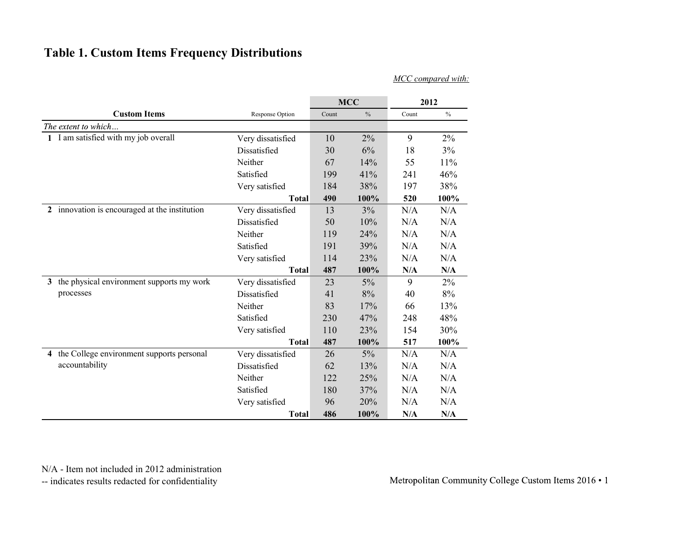### Table 1. Custom Items Frequency Distributions

|                                               |                   |       |            |           | MCC compared with:      |
|-----------------------------------------------|-------------------|-------|------------|-----------|-------------------------|
|                                               |                   |       | <b>MCC</b> |           | 2012                    |
| <b>Custom Items</b>                           | Response Option   | Count | $\%$       | Count     | $\%$                    |
| The extent to which                           |                   |       |            |           |                         |
| 1 I am satisfied with my job overall          | Very dissatisfied | 10    | 2%         | 9         | $2\%$                   |
|                                               | Dissatisfied      | 30    | 6%         | 18        | 3%                      |
|                                               | Neither           | 67    | 14%        | 55        | 11%                     |
|                                               | Satisfied         | 199   | 41%        | 241       | 46%                     |
|                                               | Very satisfied    | 184   | 38%        | 197       | 38%                     |
|                                               | <b>Total</b>      | 490   | 100%       | 520       | 100%                    |
| 2 innovation is encouraged at the institution | Very dissatisfied | 13    | 3%         | N/A       | N/A                     |
|                                               | Dissatisfied      | 50    | 10%        | N/A       | N/A                     |
|                                               | Neither           | 119   | 24%        | N/A       | N/A                     |
|                                               | Satisfied         | 191   | 39%        | N/A       | N/A                     |
|                                               | Very satisfied    | 114   | 23%        | $\rm N/A$ | N/A                     |
|                                               | <b>Total</b>      | 487   | 100%       | N/A       | $\mathbf{N}/\mathbf{A}$ |
| 3 the physical environment supports my work   | Very dissatisfied | 23    | $5\%$      | 9         | $2\%$                   |
| processes                                     | Dissatisfied      | 41    | 8%         | 40        | $8\%$                   |
|                                               | Neither           | 83    | 17%        | 66        | 13%                     |
|                                               | Satisfied         | 230   | 47%        | 248       | 48%                     |
|                                               | Very satisfied    | 110   | 23%        | 154       | 30%                     |
|                                               | <b>Total</b>      | 487   | 100%       | 517       | $100\%$                 |
| 4 the College environment supports personal   | Very dissatisfied | 26    | $5\%$      | $\rm N/A$ | N/A                     |
| accountability                                | Dissatisfied      | 62    | 13%        | N/A       | N/A                     |
|                                               | Neither           | 122   | 25%        | N/A       | N/A                     |
|                                               | Satisfied         | 180   | 37%        | N/A       | N/A                     |
|                                               | Very satisfied    | 96    | 20%        | N/A       | N/A                     |
|                                               | <b>Total</b>      | 486   | 100%       | N/A       | N/A                     |

N/A - Item not included in 2012 administration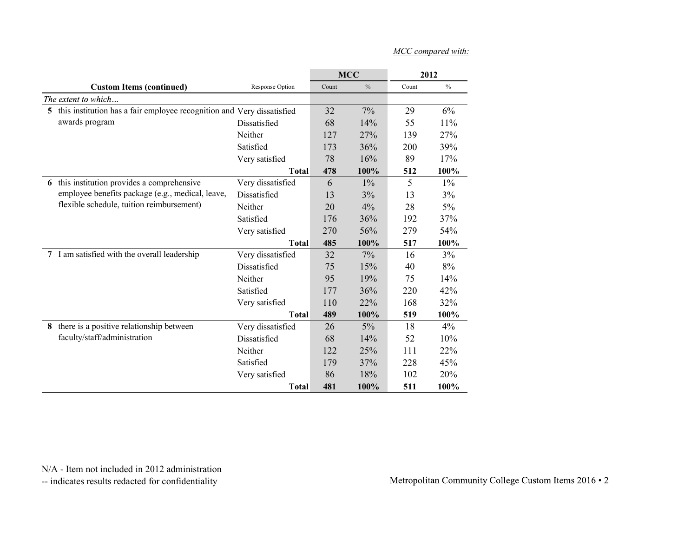| MCC compared with: |  |
|--------------------|--|
|                    |  |

|                                                                                               |                                   |           |              |          | MCC compared with: |
|-----------------------------------------------------------------------------------------------|-----------------------------------|-----------|--------------|----------|--------------------|
|                                                                                               |                                   |           |              |          |                    |
|                                                                                               |                                   |           | <b>MCC</b>   |          | 2012               |
| <b>Custom Items (continued)</b>                                                               | Response Option                   | Count     | $\%$         | Count    | $\%$               |
| The extent to which                                                                           |                                   |           |              |          |                    |
| 5 this institution has a fair employee recognition and Very dissatisfied                      |                                   | 32        | 7%           | 29       | $6\%$              |
| awards program                                                                                | Dissatisfied                      | 68        | 14%          | 55       | 11%                |
|                                                                                               | Neither                           | 127       | 27%          | 139      | 27%                |
|                                                                                               | Satisfied                         | 173       | 36%          | 200      | 39%                |
|                                                                                               | Very satisfied                    | 78        | 16%          | 89       | 17%                |
|                                                                                               | <b>Total</b>                      | 478       | 100%         | 512      | 100%               |
| 6 this institution provides a comprehensive                                                   | Very dissatisfied                 | 6         | $1\%$        | 5        | $1\%$              |
| employee benefits package (e.g., medical, leave,<br>flexible schedule, tuition reimbursement) | Dissatisfied                      | 13        | 3%           | 13       | 3%                 |
|                                                                                               | Neither                           | 20        | 4%           | 28       | $5\%$              |
|                                                                                               | Satisfied                         | 176       | 36%          | 192      | 37%                |
|                                                                                               | Very satisfied                    | 270       | 56%          | 279      | 54%                |
|                                                                                               | <b>Total</b>                      | 485       | 100%         | 517      | $100\%$            |
| 7 I am satisfied with the overall leadership                                                  | Very dissatisfied                 | 32        | 7%           | 16       | $3\%$              |
|                                                                                               | Dissatisfied                      | 75        | 15%          | 40       | $8\%$              |
|                                                                                               | Neither                           | 95        | 19%          | 75       | 14%                |
|                                                                                               | Satisfied                         | 177       | 36%          | 220      | 42%                |
|                                                                                               | Very satisfied                    | 110       | 22%          | 168      | 32%                |
| 8 there is a positive relationship between                                                    | <b>Total</b>                      | 489       | 100%         | 519      | 100%<br>4%         |
| faculty/staff/administration                                                                  | Very dissatisfied<br>Dissatisfied | 26        | $5\%$<br>14% | 18<br>52 | 10%                |
|                                                                                               | Neither                           | 68<br>122 | 25%          | 111      | 22%                |
|                                                                                               | Satisfied                         | 179       | 37%          | 228      | 45%                |
|                                                                                               |                                   |           |              |          |                    |
|                                                                                               | Very satisfied                    | 86        | $18\%$       | 102      | 20%                |
|                                                                                               | <b>Total</b>                      | 481       | 100%         | 511      | $100\%$            |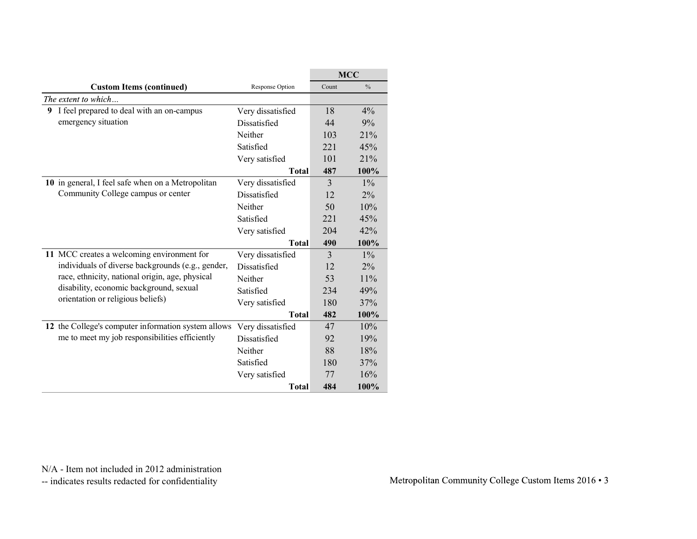|                                                                                                 |                                   |                      | MCC            |
|-------------------------------------------------------------------------------------------------|-----------------------------------|----------------------|----------------|
| <b>Custom Items (continued)</b>                                                                 | Response Option                   | Count                | $\%$           |
| The extent to which                                                                             |                                   |                      |                |
| 9 I feel prepared to deal with an on-campus                                                     | Very dissatisfied                 | 18                   | 4%             |
| emergency situation                                                                             | Dissatisfied                      | 44                   | $9\%$          |
|                                                                                                 | Neither                           | 103                  | 21%            |
|                                                                                                 | Satisfied                         | 221                  | 45%            |
|                                                                                                 | Very satisfied                    | 101                  | 21%            |
|                                                                                                 | <b>Total</b>                      | 487                  | 100%           |
| 10 in general, I feel safe when on a Metropolitan                                               | Very dissatisfied                 | $\overline{3}$       | $1\%$          |
| Community College campus or center                                                              | Dissatisfied                      | 12                   | 2%             |
|                                                                                                 | Neither                           | 50                   | $10\%$         |
|                                                                                                 | Satisfied                         | 221                  | 45%            |
|                                                                                                 | Very satisfied                    | 204                  | 42%            |
|                                                                                                 | <b>Total</b>                      | 490                  | 100%           |
| 11 MCC creates a welcoming environment for<br>individuals of diverse backgrounds (e.g., gender, | Very dissatisfied<br>Dissatisfied | $\mathfrak{Z}$<br>12 | $1\%$<br>$2\%$ |
| race, ethnicity, national origin, age, physical                                                 | Neither                           | 53                   | $11\%$         |
| disability, economic background, sexual                                                         | Satisfied                         | 234                  | 49%            |
| orientation or religious beliefs)                                                               | Very satisfied                    | 180                  | 37%            |
|                                                                                                 | <b>Total</b>                      | 482                  | 100%           |
| 12 the College's computer information system allows                                             | Very dissatisfied                 | $47\,$               | 10%            |
| me to meet my job responsibilities efficiently                                                  | Dissatisfied                      | 92                   | 19%            |
|                                                                                                 | Neither                           | 88                   | $18\%$         |
|                                                                                                 | Satisfied                         | 180                  | 37%            |
|                                                                                                 | Very satisfied                    | 77                   | 16%            |
|                                                                                                 | <b>Total</b>                      | 484                  | 100%           |
|                                                                                                 |                                   |                      |                |
|                                                                                                 |                                   |                      |                |
|                                                                                                 |                                   |                      |                |
|                                                                                                 |                                   |                      |                |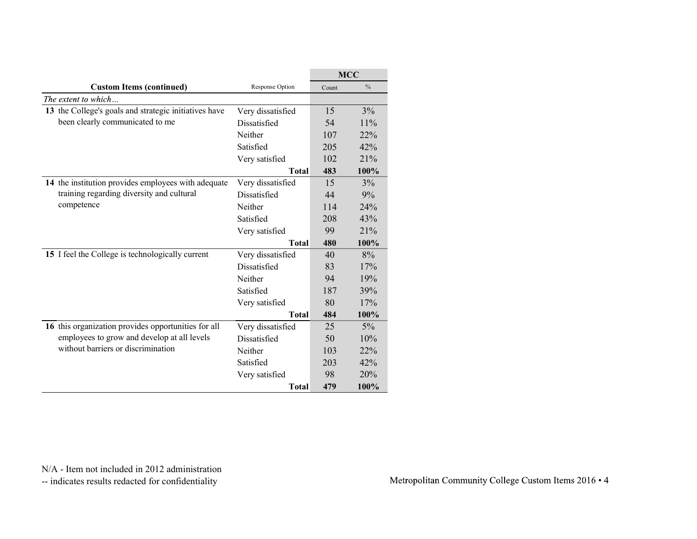|                                                                                          |                                |           | MCC           |
|------------------------------------------------------------------------------------------|--------------------------------|-----------|---------------|
| <b>Custom Items (continued)</b>                                                          | Response Option                | Count     | $\%$          |
| The extent to which                                                                      |                                |           |               |
| 13 the College's goals and strategic initiatives have<br>been clearly communicated to me | Very dissatisfied              | 15        | 3%            |
|                                                                                          | Dissatisfied<br>Neither        | 54<br>107 | $11\%$<br>22% |
|                                                                                          | Satisfied                      | 205       | 42%           |
|                                                                                          | Very satisfied                 | 102       | 21%           |
|                                                                                          | <b>Total</b>                   | 483       | 100%          |
| 14 the institution provides employees with adequate                                      | Very dissatisfied              | 15        | 3%            |
| training regarding diversity and cultural                                                | Dissatisfied                   | 44        | 9%            |
| competence                                                                               | Neither                        | 114       | 24%           |
|                                                                                          | Satisfied                      | 208       | 43%           |
|                                                                                          | Very satisfied                 | 99        | 21%           |
|                                                                                          | <b>Total</b>                   | 480       | 100%          |
| 15 I feel the College is technologically current                                         | Very dissatisfied              | 40        | 8%            |
|                                                                                          | Dissatisfied                   | 83        | 17%           |
|                                                                                          | Neither                        | 94        | 19%           |
|                                                                                          | Satisfied                      | 187       | 39%           |
|                                                                                          | Very satisfied                 | 80        | 17%           |
|                                                                                          | <b>Total</b>                   | 484       | $100\%$       |
| 16 this organization provides opportunities for all                                      | Very dissatisfied              | 25        | 5%            |
| employees to grow and develop at all levels                                              | Dissatisfied                   | 50        | 10%           |
| without barriers or discrimination                                                       | Neither                        | 103       | 22%           |
|                                                                                          | Satisfied                      | 203       | 42%           |
|                                                                                          |                                |           |               |
|                                                                                          | Very satisfied<br><b>Total</b> | 98<br>479 | 100%          |
|                                                                                          |                                |           | 20%           |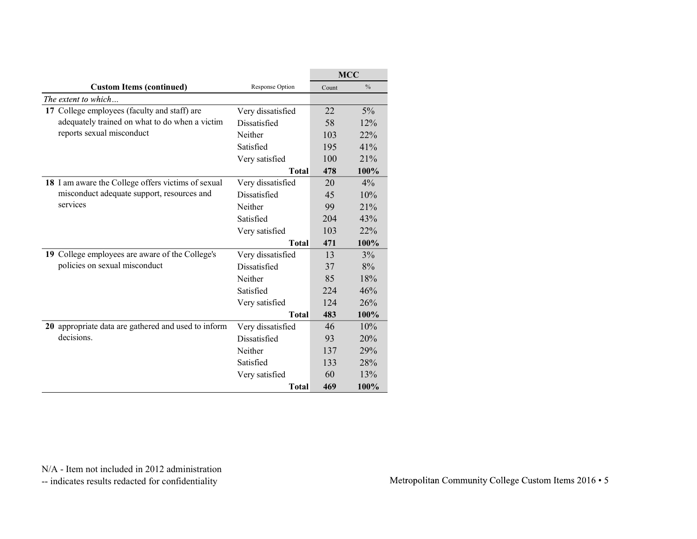|                      |                                                                                                                                                                                                                                                                                                                                | MCC                                                                                                         |
|----------------------|--------------------------------------------------------------------------------------------------------------------------------------------------------------------------------------------------------------------------------------------------------------------------------------------------------------------------------|-------------------------------------------------------------------------------------------------------------|
| Response Option      | Count                                                                                                                                                                                                                                                                                                                          | $\%$                                                                                                        |
|                      |                                                                                                                                                                                                                                                                                                                                |                                                                                                             |
| Very dissatisfied    | 22                                                                                                                                                                                                                                                                                                                             | $5\%$                                                                                                       |
| Dissatisfied         | 58                                                                                                                                                                                                                                                                                                                             | 12%                                                                                                         |
|                      | 103                                                                                                                                                                                                                                                                                                                            | 22%                                                                                                         |
|                      |                                                                                                                                                                                                                                                                                                                                | 41%                                                                                                         |
| Very satisfied       |                                                                                                                                                                                                                                                                                                                                | 21%                                                                                                         |
|                      |                                                                                                                                                                                                                                                                                                                                | 100%                                                                                                        |
|                      |                                                                                                                                                                                                                                                                                                                                | 4%                                                                                                          |
|                      |                                                                                                                                                                                                                                                                                                                                | 10%                                                                                                         |
|                      |                                                                                                                                                                                                                                                                                                                                | 21%                                                                                                         |
|                      |                                                                                                                                                                                                                                                                                                                                | 43%                                                                                                         |
|                      |                                                                                                                                                                                                                                                                                                                                | 22%                                                                                                         |
|                      |                                                                                                                                                                                                                                                                                                                                | 100%                                                                                                        |
|                      |                                                                                                                                                                                                                                                                                                                                | 3%                                                                                                          |
|                      |                                                                                                                                                                                                                                                                                                                                | $8\%$                                                                                                       |
|                      |                                                                                                                                                                                                                                                                                                                                | $18\%$                                                                                                      |
|                      |                                                                                                                                                                                                                                                                                                                                | 46%                                                                                                         |
|                      |                                                                                                                                                                                                                                                                                                                                | 26%                                                                                                         |
|                      |                                                                                                                                                                                                                                                                                                                                | 100%                                                                                                        |
|                      |                                                                                                                                                                                                                                                                                                                                | 10%                                                                                                         |
|                      |                                                                                                                                                                                                                                                                                                                                | 20%                                                                                                         |
| Neither<br>Satisfied | 137                                                                                                                                                                                                                                                                                                                            | 29%                                                                                                         |
|                      | 133                                                                                                                                                                                                                                                                                                                            | 28%                                                                                                         |
|                      | 60                                                                                                                                                                                                                                                                                                                             | 13%                                                                                                         |
| Very satisfied       |                                                                                                                                                                                                                                                                                                                                |                                                                                                             |
| <b>Total</b>         | 469                                                                                                                                                                                                                                                                                                                            | 100%                                                                                                        |
|                      |                                                                                                                                                                                                                                                                                                                                |                                                                                                             |
|                      |                                                                                                                                                                                                                                                                                                                                |                                                                                                             |
|                      |                                                                                                                                                                                                                                                                                                                                |                                                                                                             |
|                      | Neither<br>Satisfied<br><b>Total</b><br>Very dissatisfied<br>Dissatisfied<br>Neither<br>Satisfied<br>Very satisfied<br><b>Total</b><br>Very dissatisfied<br>Dissatisfied<br>Neither<br>Satisfied<br>Very satisfied<br><b>Total</b><br>20 appropriate data are gathered and used to inform<br>Very dissatisfied<br>Dissatisfied | 195<br>100<br>478<br>20<br>45<br>99<br>204<br>103<br>471<br>13<br>37<br>85<br>224<br>124<br>483<br>46<br>93 |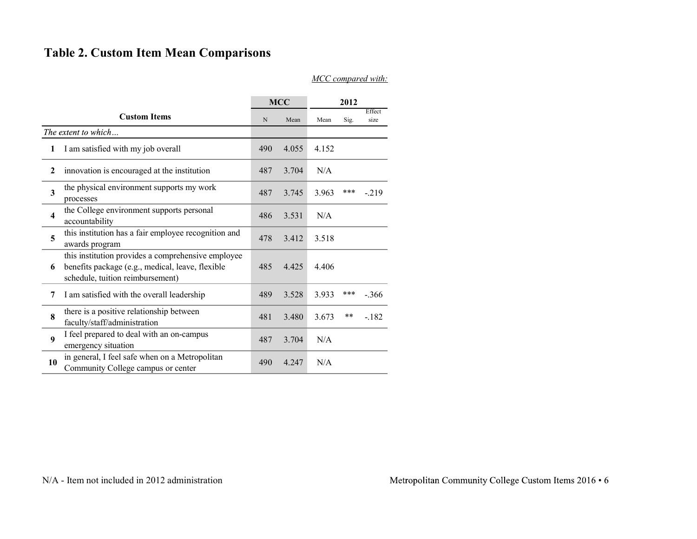### Table 2. Custom Item Mean Comparisons

| <b>Table 2. Custom Item Mean Comparisons</b>                                                                                                    |             |            |           |       |                    |
|-------------------------------------------------------------------------------------------------------------------------------------------------|-------------|------------|-----------|-------|--------------------|
|                                                                                                                                                 |             |            |           |       | MCC compared with: |
|                                                                                                                                                 |             | <b>MCC</b> |           | 2012  | Effect             |
| <b>Custom Items</b>                                                                                                                             | $\mathbf N$ | Mean       | Mean      | Sig.  | size               |
| The extent to which<br>I am satisfied with my job overall<br>$\mathbf{1}$                                                                       | 490         | 4.055      | 4.152     |       |                    |
|                                                                                                                                                 |             |            |           |       |                    |
| innovation is encouraged at the institution<br>$\mathbf{2}$                                                                                     | 487         | 3.704      | N/A       |       |                    |
| the physical environment supports my work<br>$\mathbf{3}$<br>processes                                                                          | 487         | 3.745      | 3.963     | ***   | $-.219$            |
| the College environment supports personal<br>$\overline{\mathbf{4}}$<br>accountability                                                          | 486         | 3.531      | N/A       |       |                    |
| this institution has a fair employee recognition and<br>5<br>awards program                                                                     | 478         | 3.412      | 3.518     |       |                    |
| this institution provides a comprehensive employee<br>benefits package (e.g., medical, leave, flexible<br>6<br>schedule, tuition reimbursement) | 485         | 4.425      | 4.406     |       |                    |
| I am satisfied with the overall leadership<br>7                                                                                                 | 489         | 3.528      | 3.933     | ***   | $-.366$            |
| there is a positive relationship between<br>8<br>faculty/staff/administration                                                                   | 481         | 3.480      | 3.673     | $***$ | $-182$             |
| I feel prepared to deal with an on-campus<br>9<br>emergency situation                                                                           | 487         | 3.704      | $\rm N/A$ |       |                    |
| in general, I feel safe when on a Metropolitan<br>10<br>Community College campus or center                                                      | 490         | 4.247      | $\rm N/A$ |       |                    |
|                                                                                                                                                 |             |            |           |       |                    |
|                                                                                                                                                 |             |            |           |       |                    |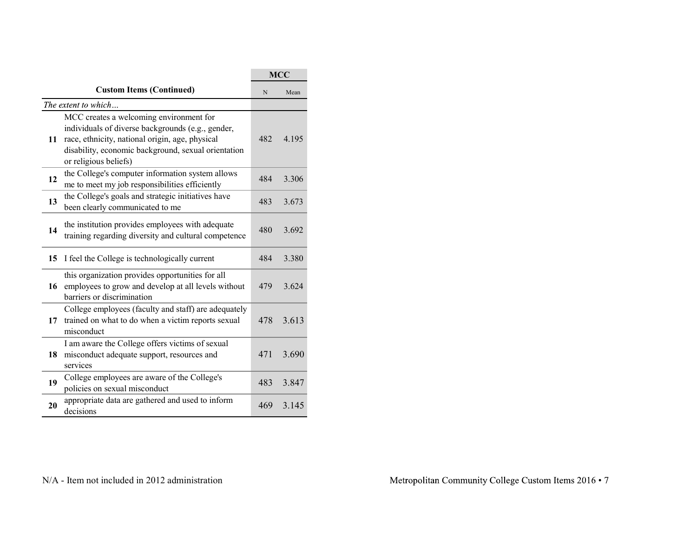|                                                                                                                                                                                         |                                                                                                                                                                                                             | <b>MCC</b> |
|-----------------------------------------------------------------------------------------------------------------------------------------------------------------------------------------|-------------------------------------------------------------------------------------------------------------------------------------------------------------------------------------------------------------|------------|
|                                                                                                                                                                                         | N                                                                                                                                                                                                           | Mean       |
|                                                                                                                                                                                         |                                                                                                                                                                                                             |            |
| individuals of diverse backgrounds (e.g., gender,<br>11 race, ethnicity, national origin, age, physical<br>disability, economic background, sexual orientation<br>or religious beliefs) | 482                                                                                                                                                                                                         | 4.195      |
| me to meet my job responsibilities efficiently                                                                                                                                          | 484                                                                                                                                                                                                         | 3.306      |
| been clearly communicated to me                                                                                                                                                         | 483                                                                                                                                                                                                         | 3.673      |
| the institution provides employees with adequate<br>training regarding diversity and cultural competence                                                                                | 480                                                                                                                                                                                                         | 3.692      |
| 15 I feel the College is technologically current                                                                                                                                        | 484                                                                                                                                                                                                         | 3.380      |
| this organization provides opportunities for all<br>employees to grow and develop at all levels without<br>barriers or discrimination                                                   | 479                                                                                                                                                                                                         | 3.624      |
| College employees (faculty and staff) are adequately<br>17 trained on what to do when a victim reports sexual<br>misconduct                                                             |                                                                                                                                                                                                             | 478 3.613  |
| I am aware the College offers victims of sexual<br>18 misconduct adequate support, resources and<br>services                                                                            | 471                                                                                                                                                                                                         | 3.690      |
| College employees are aware of the College's<br>policies on sexual misconduct                                                                                                           | 483                                                                                                                                                                                                         | 3.847      |
| appropriate data are gathered and used to inform<br>decisions                                                                                                                           | 469                                                                                                                                                                                                         | 3.145      |
|                                                                                                                                                                                         | <b>Custom Items (Continued)</b><br>The extent to which<br>MCC creates a welcoming environment for<br>the College's computer information system allows<br>the College's goals and strategic initiatives have |            |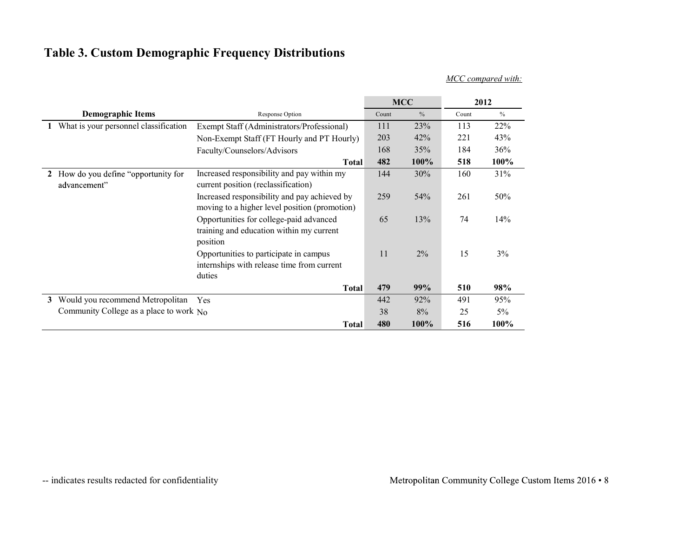### Table 3. Custom Demographic Frequency Distributions

| <b>Table 3. Custom Demographic Frequency Distributions</b> |                                                                                                 |       |            |        |                    |
|------------------------------------------------------------|-------------------------------------------------------------------------------------------------|-------|------------|--------|--------------------|
|                                                            |                                                                                                 |       |            |        |                    |
|                                                            |                                                                                                 |       |            |        |                    |
|                                                            |                                                                                                 |       |            |        |                    |
|                                                            |                                                                                                 |       |            |        |                    |
|                                                            |                                                                                                 |       |            |        |                    |
|                                                            |                                                                                                 |       |            |        |                    |
|                                                            |                                                                                                 |       |            |        |                    |
|                                                            |                                                                                                 |       |            |        |                    |
|                                                            |                                                                                                 |       |            |        |                    |
|                                                            |                                                                                                 |       |            |        |                    |
|                                                            |                                                                                                 |       |            |        |                    |
|                                                            |                                                                                                 |       |            |        |                    |
|                                                            |                                                                                                 |       |            |        | MCC compared with: |
|                                                            |                                                                                                 |       | <b>MCC</b> |        | 2012               |
| <b>Demographic Items</b>                                   | Response Option                                                                                 | Count | $\%$       | Count  | $\%$               |
| 1 What is your personnel classification                    | Exempt Staff (Administrators/Professional)                                                      | 111   | 23%        | 113    | 22%                |
|                                                            | Non-Exempt Staff (FT Hourly and PT Hourly)                                                      | 203   | 42%        | 221    | 43%                |
|                                                            | Faculty/Counselors/Advisors                                                                     | 168   | 35%        | 184    | 36%                |
|                                                            | <b>Total</b>                                                                                    | 482   | 100%       | 518    | 100%               |
| 2 How do you define "opportunity for<br>advancement"       | Increased responsibility and pay within my<br>current position (reclassification)               | 144   | 30%        | 160    | 31%                |
|                                                            | Increased responsibility and pay achieved by                                                    | 259   | 54%        | 261    | 50%                |
|                                                            | moving to a higher level position (promotion)                                                   |       |            |        |                    |
|                                                            | Opportunities for college-paid advanced<br>training and education within my current<br>position | 65    | 13%        | 74     | 14%                |
|                                                            | Opportunities to participate in campus                                                          | 11    | $2\%$      | 15     | $3\%$              |
|                                                            | internships with release time from current                                                      |       |            |        |                    |
|                                                            | duties                                                                                          |       |            |        |                    |
|                                                            | <b>Total</b>                                                                                    | 479   | 99%        | 510    | 98%                |
|                                                            |                                                                                                 | 442   | 92%        | 491    | 95%                |
| 3 Would you recommend Metropolitan Yes                     |                                                                                                 | 38    | $8\%$      | $25\,$ | $5\%$              |
| Community College as a place to work No                    |                                                                                                 |       | 100%       | 516    | 100%               |
|                                                            | <b>Total</b>                                                                                    | 480   |            |        |                    |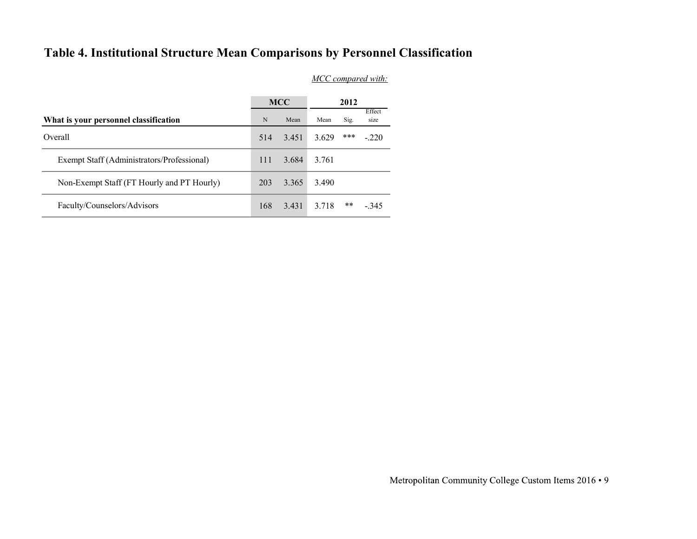### Table 4. Institutional Structure Mean Comparisons by Personnel Classification

| Table 4. Institutional Structure Mean Comparisons by Personnel Classification |             |            |       |      |                    |
|-------------------------------------------------------------------------------|-------------|------------|-------|------|--------------------|
|                                                                               |             | <b>MCC</b> |       | 2012 | MCC compared with: |
| What is your personnel classification                                         | $\mathbf N$ | Mean       | Mean  | Sig. | Effect<br>size     |
|                                                                               |             |            |       |      |                    |
| Overall                                                                       | 514         | 3.451      | 3.629 | ***  | $-.220$            |
| Exempt Staff (Administrators/Professional)                                    | 111         | 3.684      | 3.761 |      |                    |
| Non-Exempt Staff (FT Hourly and PT Hourly)                                    | 203         | 3.365      | 3.490 |      |                    |
| Faculty/Counselors/Advisors                                                   | 168         | 3.431      | 3.718 | **   |                    |
|                                                                               |             |            |       |      | $-.345$            |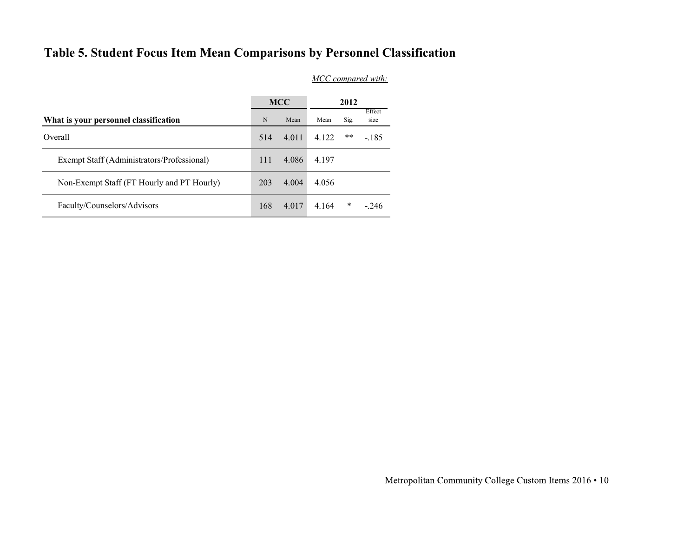### Table 5. Student Focus Item Mean Comparisons by Personnel Classification

|     |             |                    |               | Effect<br>size                                                                                                 |  |  |  |  |  |  |
|-----|-------------|--------------------|---------------|----------------------------------------------------------------------------------------------------------------|--|--|--|--|--|--|
| 514 | 4.011       | 4.122              | **            | $-185$                                                                                                         |  |  |  |  |  |  |
| 111 |             | 4.197              |               |                                                                                                                |  |  |  |  |  |  |
| 203 | 4.004       | 4.056              |               |                                                                                                                |  |  |  |  |  |  |
| 168 | 4.017       | 4.164              | $\ast$        | $-.246$                                                                                                        |  |  |  |  |  |  |
|     | $\mathbf N$ | <b>MCC</b><br>Mean | Mean<br>4.086 | Table 5. Student Focus Item Mean Comparisons by Personnel Classification<br>MCC compared with:<br>2012<br>Sig. |  |  |  |  |  |  |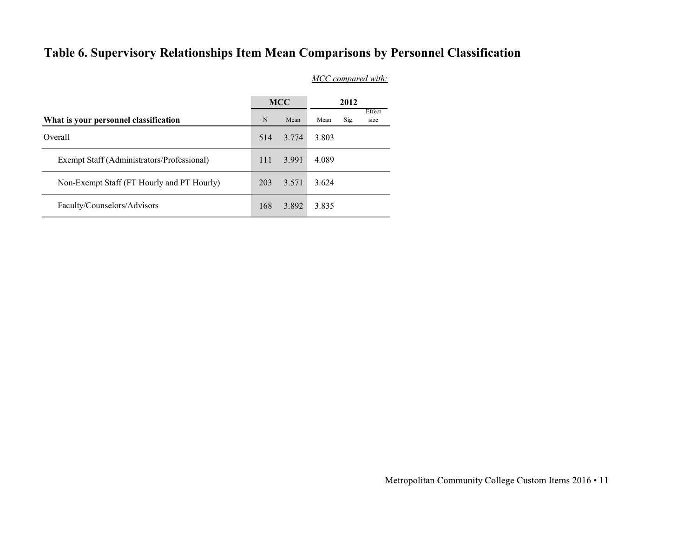### Table 6. Supervisory Relationships Item Mean Comparisons by Personnel Classification

| Table 6. Supervisory Relationships Item Mean Comparisons by Personnel Classification |           |            |                    |      |        |
|--------------------------------------------------------------------------------------|-----------|------------|--------------------|------|--------|
|                                                                                      |           |            | MCC compared with: |      |        |
|                                                                                      |           | <b>MCC</b> |                    | 2012 | Effect |
| What is your personnel classification                                                | ${\bf N}$ | Mean       | Mean               | Sig. | size   |
|                                                                                      |           | 3.774      | 3.803              |      |        |
| Overall                                                                              | 514       |            |                    |      |        |
| Exempt Staff (Administrators/Professional)                                           | 111       | 3.991      | 4.089              |      |        |
| Non-Exempt Staff (FT Hourly and PT Hourly)                                           | 203       | 3.571      | 3.624              |      |        |
| Faculty/Counselors/Advisors                                                          | 168       | 3.892      | 3.835              |      |        |
|                                                                                      |           |            |                    |      |        |
|                                                                                      |           |            |                    |      |        |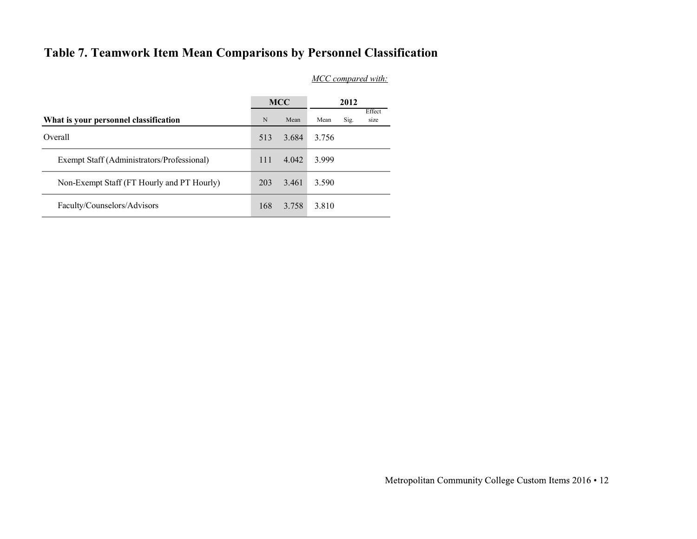### Table 7. Teamwork Item Mean Comparisons by Personnel Classification

| Table 7. Teamwork Item Mean Comparisons by Personnel Classification |           |            |                    |      |                |
|---------------------------------------------------------------------|-----------|------------|--------------------|------|----------------|
|                                                                     |           |            | MCC compared with: |      |                |
|                                                                     |           |            |                    |      |                |
|                                                                     |           | <b>MCC</b> |                    | 2012 |                |
| What is your personnel classification                               | ${\bf N}$ | Mean       | Mean               | Sig. | Effect<br>size |
| Overall                                                             | 513       | 3.684      | 3.756              |      |                |
| Exempt Staff (Administrators/Professional)                          | 111       | 4.042      | 3.999              |      |                |
| Non-Exempt Staff (FT Hourly and PT Hourly)                          | 203       | 3.461      | 3.590              |      |                |
| Faculty/Counselors/Advisors                                         | 168       | 3.758      | 3.810              |      |                |
|                                                                     |           |            |                    |      |                |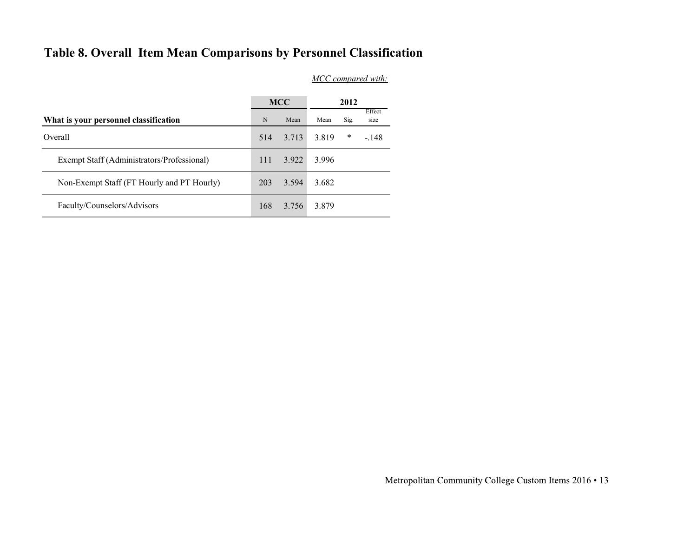### Table 8. Overall Item Mean Comparisons by Personnel Classification

| Table 8. Overall Item Mean Comparisons by Personnel Classification |             |       |                    |        |                |
|--------------------------------------------------------------------|-------------|-------|--------------------|--------|----------------|
|                                                                    |             |       | MCC compared with: |        |                |
|                                                                    |             |       |                    |        |                |
|                                                                    |             | MCC   |                    | 2012   |                |
| What is your personnel classification                              | $\mathbf N$ | Mean  | Mean               | Sig.   | Effect<br>size |
| Overall                                                            | 514         | 3.713 | 3.819              | $\ast$ | $-.148$        |
| Exempt Staff (Administrators/Professional)                         | 111         | 3.922 | 3.996              |        |                |
| Non-Exempt Staff (FT Hourly and PT Hourly)                         | 203         | 3.594 | 3.682              |        |                |
| Faculty/Counselors/Advisors                                        | 168         | 3.756 | 3.879              |        |                |
|                                                                    |             |       |                    |        |                |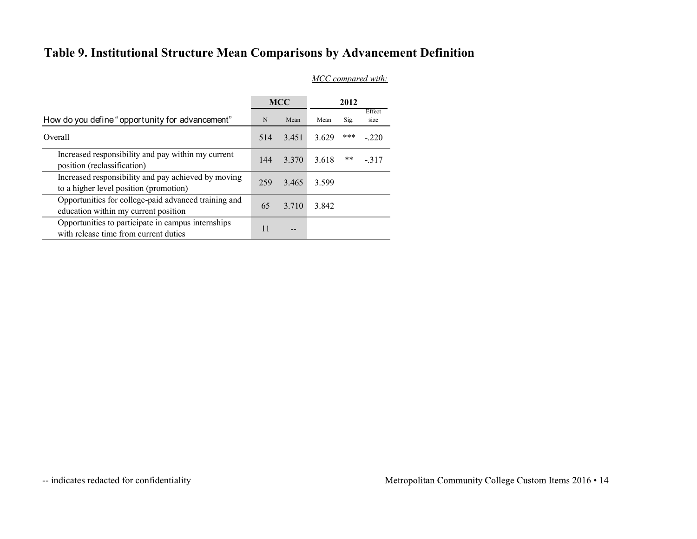### Table 9. Institutional Structure Mean Comparisons by Advancement Definition

| Table 9. Institutional Structure Mean Comparisons by Advancement Definition                                                  |             |            |       |      |                    |
|------------------------------------------------------------------------------------------------------------------------------|-------------|------------|-------|------|--------------------|
|                                                                                                                              |             |            |       |      | MCC compared with: |
|                                                                                                                              |             |            |       |      |                    |
|                                                                                                                              |             | <b>MCC</b> |       | 2012 | Effect             |
| How do you define "opportunity for advancement"                                                                              | $\mathbf N$ | Mean       | Mean  | Sig. | size               |
| Overall                                                                                                                      | 514         | 3.451      | 3.629 | ***  | $-.220$            |
|                                                                                                                              | 144         | 3.370      | 3.618 | **   | $-.317$            |
| Increased responsibility and pay within my current                                                                           |             | 3.465      | 3.599 |      |                    |
| position (reclassification)<br>Increased responsibility and pay achieved by moving<br>to a higher level position (promotion) | 259         |            |       |      |                    |
| Opportunities for college-paid advanced training and<br>education within my current position                                 | 65          | 3.710      | 3.842 |      |                    |
|                                                                                                                              |             |            |       |      |                    |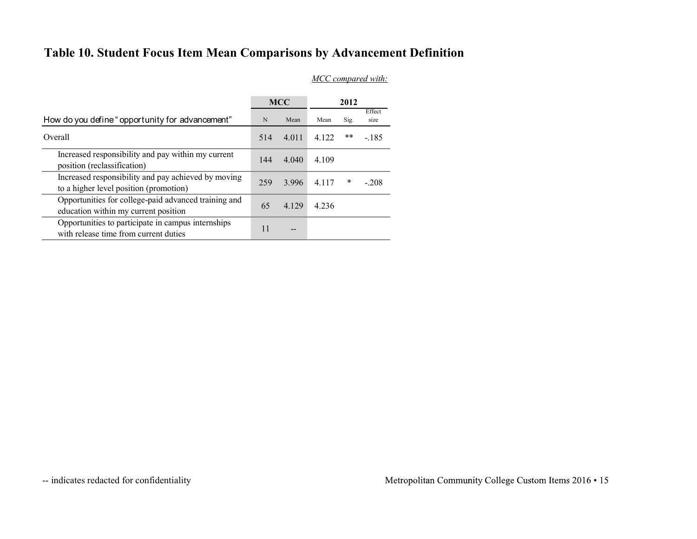### Table 10. Student Focus Item Mean Comparisons by Advancement Definition

| Table 10. Student Focus Item Mean Comparisons by Advancement Definition                                                      |             |            |       |        |                    |
|------------------------------------------------------------------------------------------------------------------------------|-------------|------------|-------|--------|--------------------|
|                                                                                                                              |             |            |       |        | MCC compared with: |
|                                                                                                                              |             |            |       |        |                    |
|                                                                                                                              |             |            |       |        |                    |
|                                                                                                                              |             | <b>MCC</b> |       | 2012   |                    |
| How do you define "opportunity for advancement"                                                                              | $\mathbf N$ | Mean       | Mean  | Sig.   | Effect<br>size     |
| Overall                                                                                                                      | 514         | 4.011      | 4.122 | $***$  | $-185$             |
| Increased responsibility and pay within my current                                                                           | 144         | 4.040      | 4.109 |        |                    |
| position (reclassification)<br>Increased responsibility and pay achieved by moving<br>to a higher level position (promotion) | 259         | 3.996      | 4.117 | $\ast$ | $-.208$            |
| Opportunities for college-paid advanced training and<br>education within my current position                                 | 65          | 4.129      | 4.236 |        |                    |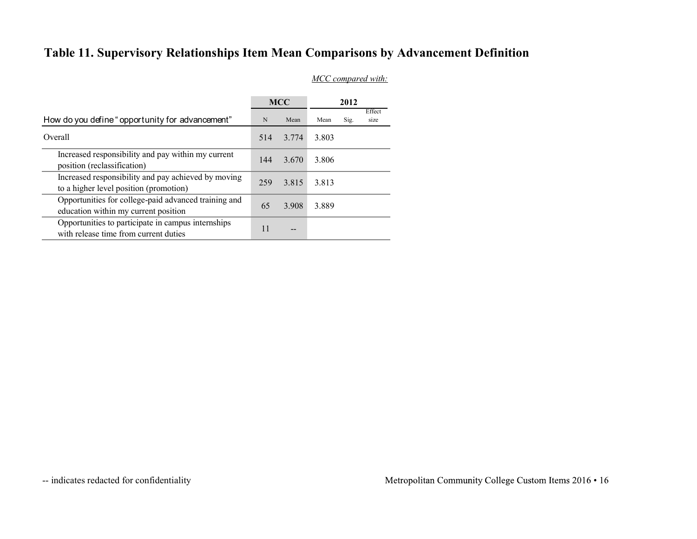### Table 11. Supervisory Relationships Item Mean Comparisons by Advancement Definition

| Table 11. Supervisory Relationships Item Mean Comparisons by Advancement Definition           |             |                   |                    |      |                |
|-----------------------------------------------------------------------------------------------|-------------|-------------------|--------------------|------|----------------|
|                                                                                               |             |                   | MCC compared with: |      |                |
|                                                                                               |             | <b>MCC</b>        |                    | 2012 |                |
| How do you define "opportunity for advancement"                                               | $\mathbf N$ | Mean              | Mean               | Sig. | Effect<br>size |
| Overall                                                                                       | 514         | 3.774             | 3.803              |      |                |
| Increased responsibility and pay within my current<br>position (reclassification)             | 144         | 3.670             | 3.806              |      |                |
| Increased responsibility and pay achieved by moving<br>to a higher level position (promotion) | 259         | 3.815             | 3.813              |      |                |
|                                                                                               |             | 3.908             | 3.889              |      |                |
| Opportunities for college-paid advanced training and<br>education within my current position  | 65          |                   |                    |      |                |
| Opportunities to participate in campus internships<br>with release time from current duties   | 11          | $\qquad \qquad -$ |                    |      |                |
|                                                                                               |             |                   |                    |      |                |
|                                                                                               |             |                   |                    |      |                |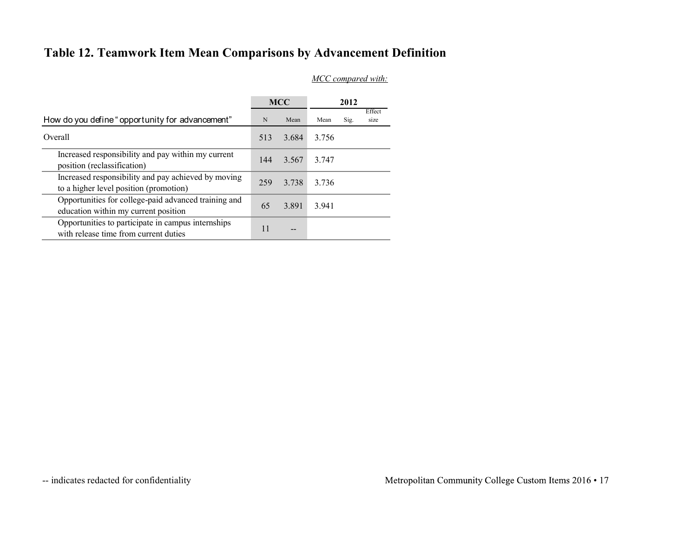### Table 12. Teamwork Item Mean Comparisons by Advancement Definition

| Table 12. Teamwork Item Mean Comparisons by Advancement Definition                            |           |            |       |      |                    |
|-----------------------------------------------------------------------------------------------|-----------|------------|-------|------|--------------------|
|                                                                                               |           |            |       |      | MCC compared with: |
|                                                                                               |           |            |       |      |                    |
|                                                                                               |           | <b>MCC</b> |       | 2012 | Effect             |
| How do you define "opportunity for advancement"                                               | ${\bf N}$ | Mean       | Mean  | Sig. | size               |
| Overall                                                                                       | 513       | 3.684      | 3.756 |      |                    |
|                                                                                               |           |            |       |      |                    |
| Increased responsibility and pay within my current<br>position (reclassification)             | 144       | 3.567      | 3.747 |      |                    |
| Increased responsibility and pay achieved by moving<br>to a higher level position (promotion) | 259       | 3.738      | 3.736 |      |                    |
| Opportunities for college-paid advanced training and<br>education within my current position  | 65        | 3.891      | 3.941 |      |                    |
| Opportunities to participate in campus internships<br>with release time from current duties   | 11        | $-$        |       |      |                    |
|                                                                                               |           |            |       |      |                    |
|                                                                                               |           |            |       |      |                    |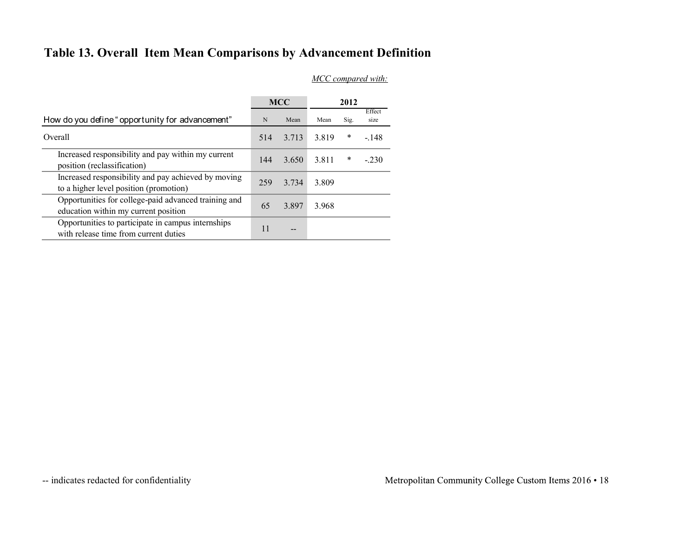### Table 13. Overall Item Mean Comparisons by Advancement Definition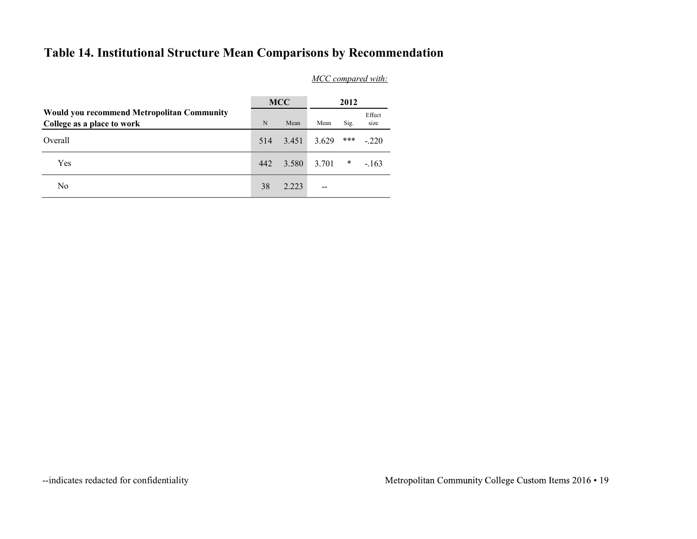### Table 14. Institutional Structure Mean Comparisons by Recommendation

| Table 14. Institutional Structure Mean Comparisons by Recommendation     |              |                       |                          |        |                    |
|--------------------------------------------------------------------------|--------------|-----------------------|--------------------------|--------|--------------------|
|                                                                          |              |                       |                          |        | MCC compared with: |
|                                                                          |              |                       |                          |        |                    |
|                                                                          |              | <b>MCC</b>            |                          | 2012   |                    |
| Would you recommend Metropolitan Community<br>College as a place to work | $\, {\rm N}$ | $\operatorname{Mean}$ | Mean                     | Sig.   | Effect<br>size     |
| Overall                                                                  | 514          | 3.451                 | 3.629                    | ***    | $-.220$            |
| Yes                                                                      | 442          | 3.580                 | 3.701                    | $\ast$ | $-.163$            |
| No                                                                       | 38           | 2.223                 | $\overline{\phantom{a}}$ |        |                    |
|                                                                          |              |                       |                          |        |                    |
|                                                                          |              |                       |                          |        |                    |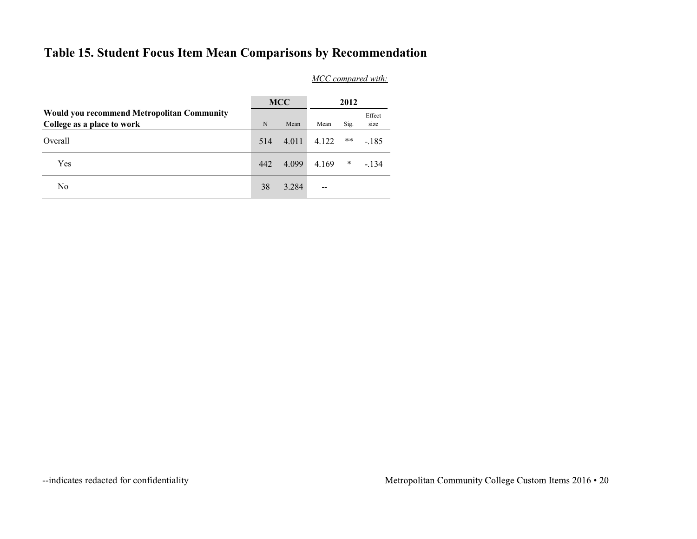### Table 15. Student Focus Item Mean Comparisons by Recommendation

| Table 15. Student Focus Item Mean Comparisons by Recommendation          |             |                       |                          |        |                    |  |  |
|--------------------------------------------------------------------------|-------------|-----------------------|--------------------------|--------|--------------------|--|--|
|                                                                          |             |                       |                          |        | MCC compared with: |  |  |
|                                                                          |             |                       |                          |        |                    |  |  |
|                                                                          |             | <b>MCC</b>            |                          | 2012   |                    |  |  |
| Would you recommend Metropolitan Community<br>College as a place to work | $\mathbf N$ | $\operatorname{Mean}$ | Mean                     | Sig.   | Effect<br>size     |  |  |
| Overall                                                                  | 514         | 4.011                 | 4.122                    | $***$  | $-185$             |  |  |
| Yes                                                                      | 442         | 4.099                 | 4.169                    | $\ast$ | $-134$             |  |  |
| No                                                                       | $38\,$      | 3.284                 | $\overline{\phantom{a}}$ |        |                    |  |  |
|                                                                          |             |                       |                          |        |                    |  |  |
|                                                                          |             |                       |                          |        |                    |  |  |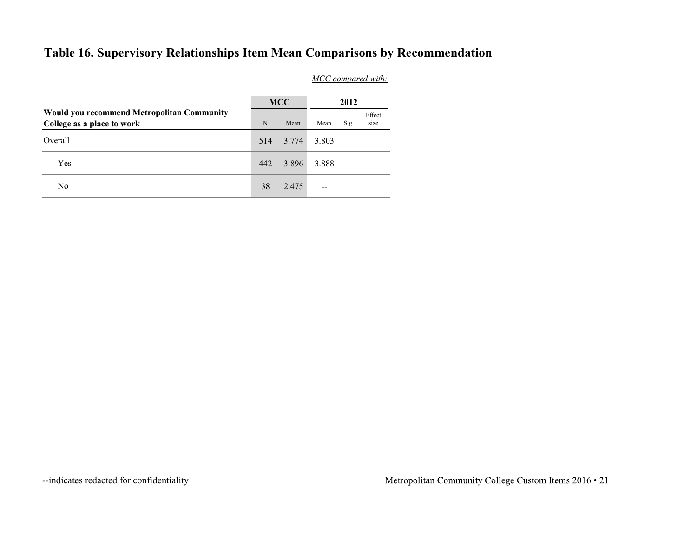### Table 16. Supervisory Relationships Item Mean Comparisons by Recommendation

| Table 16. Supervisory Relationships Item Mean Comparisons by Recommendation |           |            |                    |      |                |
|-----------------------------------------------------------------------------|-----------|------------|--------------------|------|----------------|
|                                                                             |           |            | MCC compared with: |      |                |
| Would you recommend Metropolitan Community                                  |           | <b>MCC</b> |                    | 2012 |                |
|                                                                             | ${\bf N}$ | Mean       | Mean               | Sig. | Effect<br>size |
| College as a place to work                                                  |           |            |                    |      |                |
| Overall                                                                     | 514       | 3.774      | 3.803              |      |                |
| Yes                                                                         | 442       | 3.896      | 3.888              |      |                |
| $\rm No$                                                                    | 38        | 2.475      | $\hspace{0.05cm}$  |      |                |
|                                                                             |           |            |                    |      |                |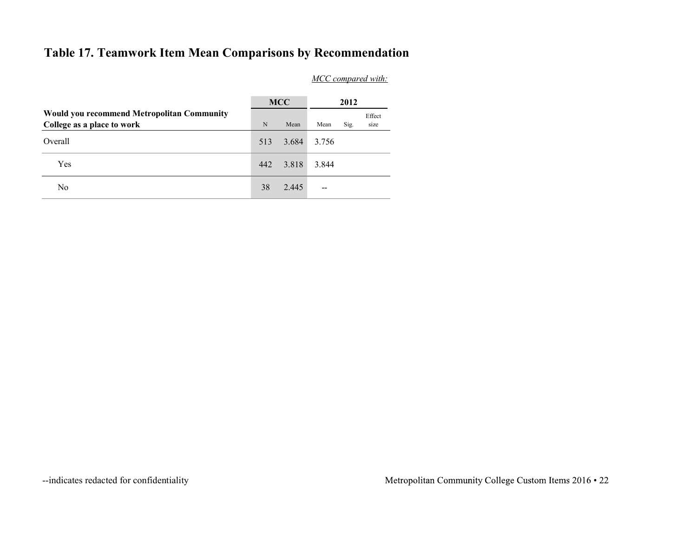### Table 17. Teamwork Item Mean Comparisons by Recommendation

| Table 17. Teamwork Item Mean Comparisons by Recommendation               |             |                       |                          |      |                      |  |  |
|--------------------------------------------------------------------------|-------------|-----------------------|--------------------------|------|----------------------|--|--|
|                                                                          |             | MCC compared with:    |                          |      |                      |  |  |
|                                                                          |             | <b>MCC</b>            |                          | 2012 |                      |  |  |
|                                                                          |             |                       |                          |      |                      |  |  |
| Would you recommend Metropolitan Community<br>College as a place to work | $\mathbf N$ | $\operatorname{Mean}$ | Mean                     | Sig. | $\rm Effect$<br>size |  |  |
| Overall                                                                  | 513         | 3.684                 | 3.756                    |      |                      |  |  |
| Yes                                                                      | 442         | 3.818                 | 3.844                    |      |                      |  |  |
| $\rm No$                                                                 | $38\,$      | 2.445                 | $\overline{\phantom{m}}$ |      |                      |  |  |
|                                                                          |             |                       |                          |      |                      |  |  |
|                                                                          |             |                       |                          |      |                      |  |  |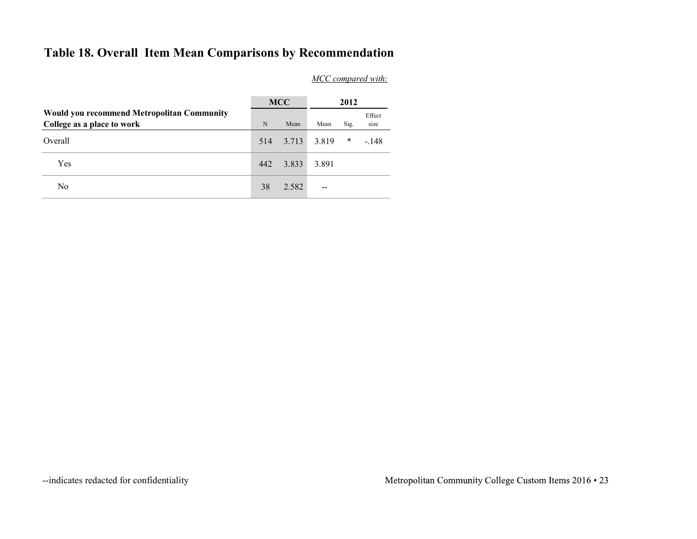### Table 18. Overall Item Mean Comparisons by Recommendation

| Table 18. Overall Item Mean Comparisons by Recommendation                |        |                       |        |        |                    |
|--------------------------------------------------------------------------|--------|-----------------------|--------|--------|--------------------|
|                                                                          |        |                       |        |        | MCC compared with: |
|                                                                          |        |                       |        |        |                    |
|                                                                          |        | <b>MCC</b>            |        | 2012   |                    |
| Would you recommend Metropolitan Community<br>College as a place to work | $\,$ N | $\operatorname{Mean}$ | Mean   | Sig.   | Effect<br>size     |
| Overall                                                                  | 514    | 3.713                 | 3.819  | $\ast$ | $-.148$            |
| Yes                                                                      | 442    | 3.833                 | 3.891  |        |                    |
| No                                                                       | $38\,$ | 2.582                 | $\sim$ |        |                    |
|                                                                          |        |                       |        |        |                    |
|                                                                          |        |                       |        |        |                    |